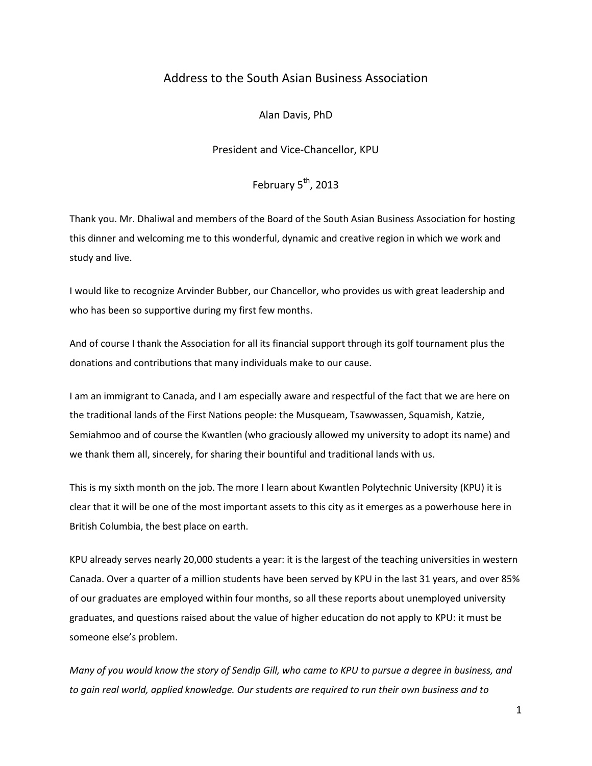## Address to the South Asian Business Association

Alan Davis, PhD

President and Vice-Chancellor, KPU

February  $5^{th}$ , 2013

Thank you. Mr. Dhaliwal and members of the Board of the South Asian Business Association for hosting this dinner and welcoming me to this wonderful, dynamic and creative region in which we work and study and live.

I would like to recognize Arvinder Bubber, our Chancellor, who provides us with great leadership and who has been so supportive during my first few months.

And of course I thank the Association for all its financial support through its golf tournament plus the donations and contributions that many individuals make to our cause.

I am an immigrant to Canada, and I am especially aware and respectful of the fact that we are here on the traditional lands of the First Nations people: the Musqueam, Tsawwassen, Squamish, Katzie, Semiahmoo and of course the Kwantlen (who graciously allowed my university to adopt its name) and we thank them all, sincerely, for sharing their bountiful and traditional lands with us.

This is my sixth month on the job. The more I learn about Kwantlen Polytechnic University (KPU) it is clear that it will be one of the most important assets to this city as it emerges as a powerhouse here in British Columbia, the best place on earth.

KPU already serves nearly 20,000 students a year: it is the largest of the teaching universities in western Canada. Over a quarter of a million students have been served by KPU in the last 31 years, and over 85% of our graduates are employed within four months, so all these reports about unemployed university graduates, and questions raised about the value of higher education do not apply to KPU: it must be someone else's problem.

*Many of you would know the story of Sendip Gill, who came to KPU to pursue a degree in business, and to gain real world, applied knowledge. Our students are required to run their own business and to*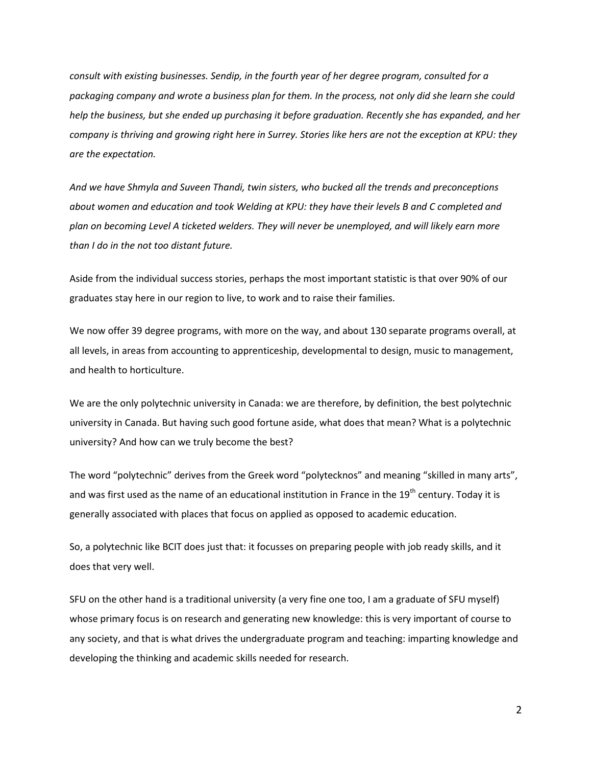*consult with existing businesses. Sendip, in the fourth year of her degree program, consulted for a packaging company and wrote a business plan for them. In the process, not only did she learn she could help the business, but she ended up purchasing it before graduation. Recently she has expanded, and her company is thriving and growing right here in Surrey. Stories like hers are not the exception at KPU: they are the expectation.*

*And we have Shmyla and Suveen Thandi, twin sisters, who bucked all the trends and preconceptions about women and education and took Welding at KPU: they have their levels B and C completed and plan on becoming Level A ticketed welders. They will never be unemployed, and will likely earn more than I do in the not too distant future.*

Aside from the individual success stories, perhaps the most important statistic is that over 90% of our graduates stay here in our region to live, to work and to raise their families.

We now offer 39 degree programs, with more on the way, and about 130 separate programs overall, at all levels, in areas from accounting to apprenticeship, developmental to design, music to management, and health to horticulture.

We are the only polytechnic university in Canada: we are therefore, by definition, the best polytechnic university in Canada. But having such good fortune aside, what does that mean? What is a polytechnic university? And how can we truly become the best?

The word "polytechnic" derives from the Greek word "polytecknos" and meaning "skilled in many arts", and was first used as the name of an educational institution in France in the 19<sup>th</sup> century. Today it is generally associated with places that focus on applied as opposed to academic education.

So, a polytechnic like BCIT does just that: it focusses on preparing people with job ready skills, and it does that very well.

SFU on the other hand is a traditional university (a very fine one too, I am a graduate of SFU myself) whose primary focus is on research and generating new knowledge: this is very important of course to any society, and that is what drives the undergraduate program and teaching: imparting knowledge and developing the thinking and academic skills needed for research.

2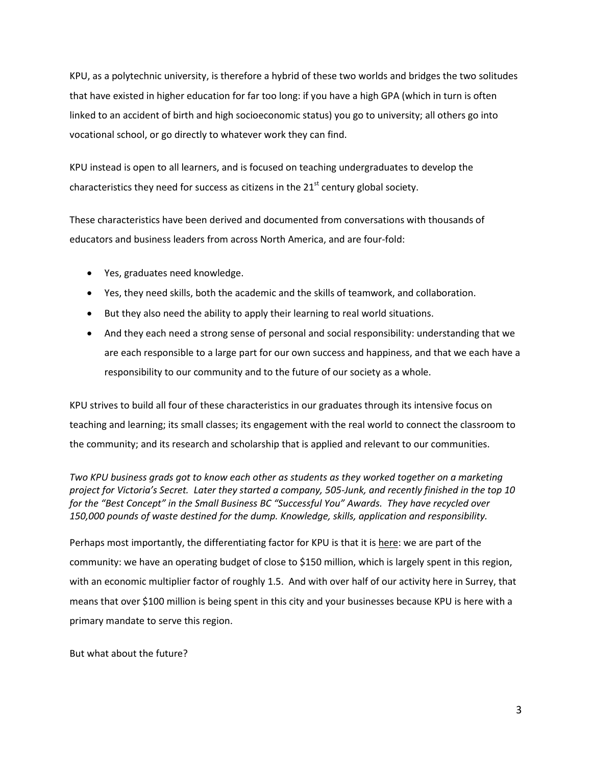KPU, as a polytechnic university, is therefore a hybrid of these two worlds and bridges the two solitudes that have existed in higher education for far too long: if you have a high GPA (which in turn is often linked to an accident of birth and high socioeconomic status) you go to university; all others go into vocational school, or go directly to whatever work they can find.

KPU instead is open to all learners, and is focused on teaching undergraduates to develop the characteristics they need for success as citizens in the  $21<sup>st</sup>$  century global society.

These characteristics have been derived and documented from conversations with thousands of educators and business leaders from across North America, and are four-fold:

- Yes, graduates need knowledge.
- Yes, they need skills, both the academic and the skills of teamwork, and collaboration.
- But they also need the ability to apply their learning to real world situations.
- And they each need a strong sense of personal and social responsibility: understanding that we are each responsible to a large part for our own success and happiness, and that we each have a responsibility to our community and to the future of our society as a whole.

KPU strives to build all four of these characteristics in our graduates through its intensive focus on teaching and learning; its small classes; its engagement with the real world to connect the classroom to the community; and its research and scholarship that is applied and relevant to our communities.

*Two KPU business grads got to know each other as students as they worked together on a marketing project for Victoria's Secret. Later they started a company, 505-Junk, and recently finished in the top 10 for the "Best Concept" in the Small Business BC "Successful You" Awards. They have recycled over 150,000 pounds of waste destined for the dump. Knowledge, skills, application and responsibility.*

Perhaps most importantly, the differentiating factor for KPU is that it is here: we are part of the community: we have an operating budget of close to \$150 million, which is largely spent in this region, with an economic multiplier factor of roughly 1.5. And with over half of our activity here in Surrey, that means that over \$100 million is being spent in this city and your businesses because KPU is here with a primary mandate to serve this region.

But what about the future?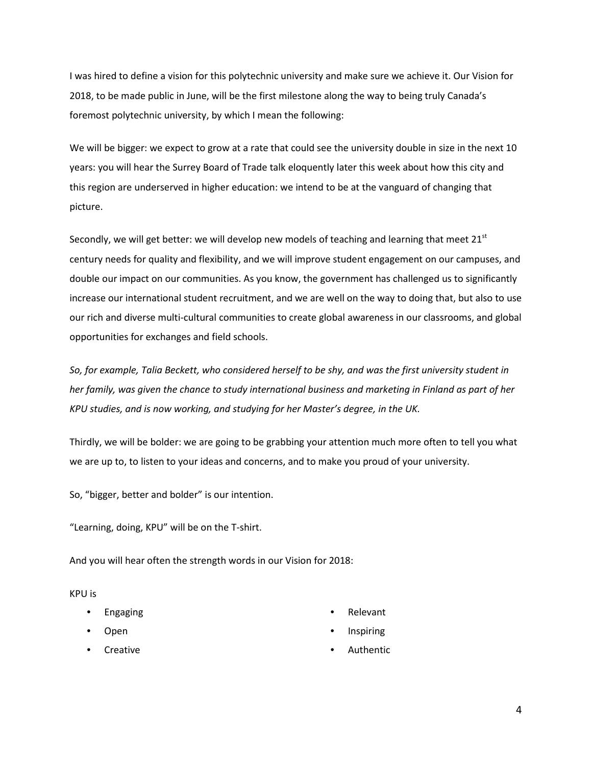I was hired to define a vision for this polytechnic university and make sure we achieve it. Our Vision for 2018, to be made public in June, will be the first milestone along the way to being truly Canada's foremost polytechnic university, by which I mean the following:

We will be bigger: we expect to grow at a rate that could see the university double in size in the next 10 years: you will hear the Surrey Board of Trade talk eloquently later this week about how this city and this region are underserved in higher education: we intend to be at the vanguard of changing that picture.

Secondly, we will get better: we will develop new models of teaching and learning that meet  $21<sup>st</sup>$ century needs for quality and flexibility, and we will improve student engagement on our campuses, and double our impact on our communities. As you know, the government has challenged us to significantly increase our international student recruitment, and we are well on the way to doing that, but also to use our rich and diverse multi-cultural communities to create global awareness in our classrooms, and global opportunities for exchanges and field schools.

*So, for example, Talia Beckett, who considered herself to be shy, and was the first university student in her family, was given the chance to study international business and marketing in Finland as part of her KPU studies, and is now working, and studying for her Master's degree, in the UK.*

Thirdly, we will be bolder: we are going to be grabbing your attention much more often to tell you what we are up to, to listen to your ideas and concerns, and to make you proud of your university.

So, "bigger, better and bolder" is our intention.

"Learning, doing, KPU" will be on the T-shirt.

And you will hear often the strength words in our Vision for 2018:

KPU is

- Engaging
- Open
- **Creative**
- Relevant
- Inspiring
- **Authentic**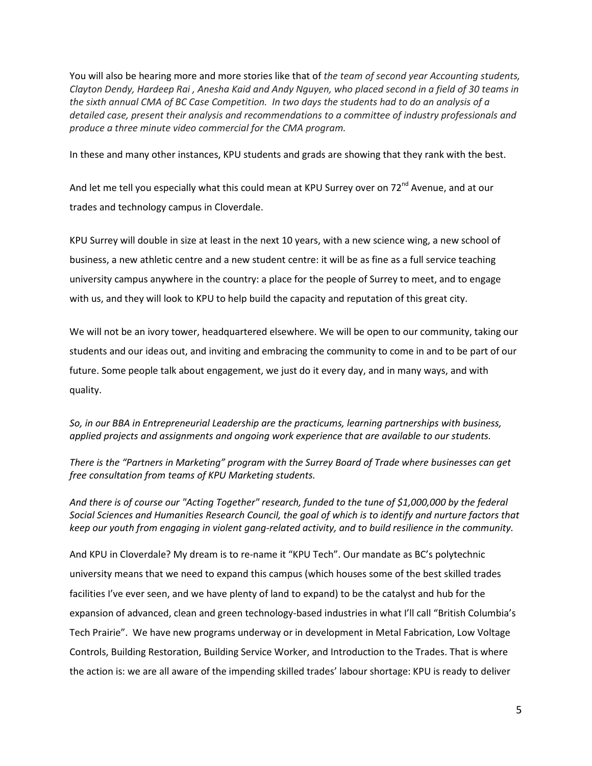You will also be hearing more and more stories like that of *the team of second year Accounting students, Clayton Dendy, Hardeep Rai , Anesha Kaid and Andy Nguyen, who placed second in a field of 30 teams in the sixth annual CMA of BC Case Competition. In two days the students had to do an analysis of a detailed case, present their analysis and recommendations to a committee of industry professionals and produce a three minute video commercial for the CMA program.*

In these and many other instances, KPU students and grads are showing that they rank with the best.

And let me tell you especially what this could mean at KPU Surrey over on 72<sup>nd</sup> Avenue, and at our trades and technology campus in Cloverdale.

KPU Surrey will double in size at least in the next 10 years, with a new science wing, a new school of business, a new athletic centre and a new student centre: it will be as fine as a full service teaching university campus anywhere in the country: a place for the people of Surrey to meet, and to engage with us, and they will look to KPU to help build the capacity and reputation of this great city.

We will not be an ivory tower, headquartered elsewhere. We will be open to our community, taking our students and our ideas out, and inviting and embracing the community to come in and to be part of our future. Some people talk about engagement, we just do it every day, and in many ways, and with quality.

*So, in our BBA in Entrepreneurial Leadership are the practicums, learning partnerships with business, applied projects and assignments and ongoing work experience that are available to our students.* 

*There is the "Partners in Marketing" program with the Surrey Board of Trade where businesses can get free consultation from teams of KPU Marketing students.*

*And there is of course our "Acting Together" research, funded to the tune of \$1,000,000 by the federal Social Sciences and Humanities Research Council, the goal of which is to identify and nurture factors that keep our youth from engaging in violent gang-related activity, and to build resilience in the community.*

And KPU in Cloverdale? My dream is to re-name it "KPU Tech". Our mandate as BC's polytechnic university means that we need to expand this campus (which houses some of the best skilled trades facilities I've ever seen, and we have plenty of land to expand) to be the catalyst and hub for the expansion of advanced, clean and green technology-based industries in what I'll call "British Columbia's Tech Prairie". We have new programs underway or in development in Metal Fabrication, Low Voltage Controls, Building Restoration, Building Service Worker, and Introduction to the Trades. That is where the action is: we are all aware of the impending skilled trades' labour shortage: KPU is ready to deliver